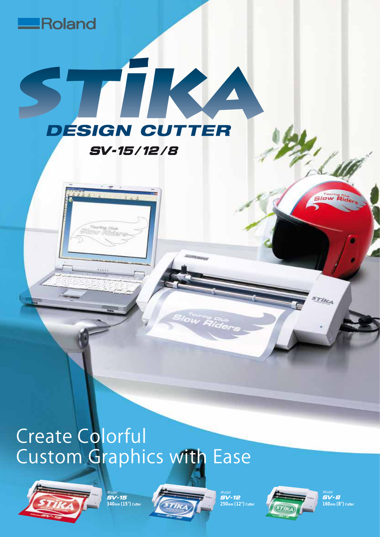



Roland

<sub>Model</sub><br>SV-15 **340mm (15") Cutter**



TRU

**DESIGN CUTTER** 

**SV-15/12/8** 

Model<br>SV-12 **250** Cut



<sub>Model</sub><br>SV-8 **160mm (8") Cutter**

**Slow Rider** 

Tirca